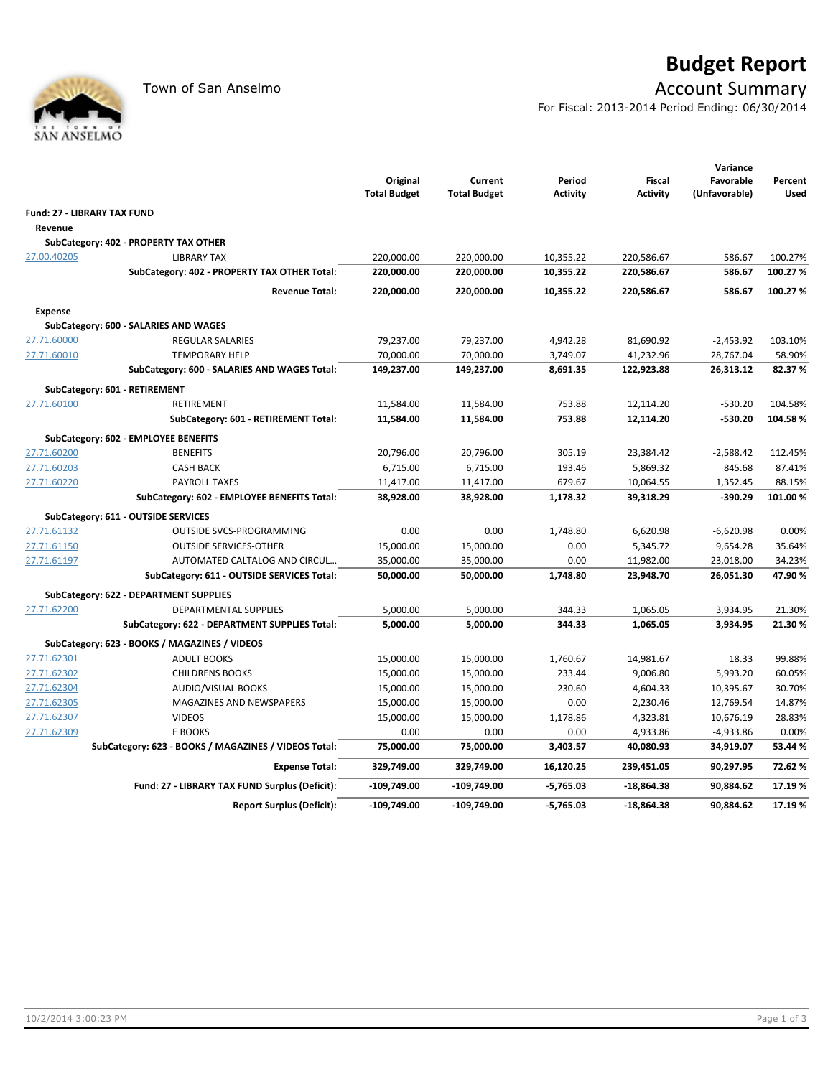

## **Budget Report**

## Town of San Anselmo **Account Summary**

For Fiscal: 2013-2014 Period Ending: 06/30/2014

|                                    |                                                      | Original<br><b>Total Budget</b> | Current<br><b>Total Budget</b> | Period<br><b>Activity</b> | <b>Fiscal</b><br><b>Activity</b> | Variance<br>Favorable<br>(Unfavorable) | Percent<br><b>Used</b>                                                                                                                                                                                    |
|------------------------------------|------------------------------------------------------|---------------------------------|--------------------------------|---------------------------|----------------------------------|----------------------------------------|-----------------------------------------------------------------------------------------------------------------------------------------------------------------------------------------------------------|
| <b>Fund: 27 - LIBRARY TAX FUND</b> |                                                      |                                 |                                |                           |                                  |                                        |                                                                                                                                                                                                           |
| Revenue                            |                                                      |                                 |                                |                           |                                  |                                        |                                                                                                                                                                                                           |
|                                    | SubCategory: 402 - PROPERTY TAX OTHER                |                                 |                                |                           |                                  |                                        |                                                                                                                                                                                                           |
| 27.00.40205                        | <b>LIBRARY TAX</b>                                   | 220,000.00                      | 220,000.00                     | 10,355.22                 | 220,586.67                       | 586.67                                 | 100.27%                                                                                                                                                                                                   |
|                                    | SubCategory: 402 - PROPERTY TAX OTHER Total:         | 220,000.00                      | 220,000.00                     | 10,355.22                 | 220,586.67                       | 586.67                                 | 100.27%                                                                                                                                                                                                   |
|                                    | <b>Revenue Total:</b>                                | 220,000.00                      | 220,000.00                     | 10,355.22                 | 220,586.67                       | 586.67                                 | 100.27%<br>103.10%<br>58.90%<br>82.37%<br>104.58%<br>104.58%<br>112.45%<br>87.41%<br>88.15%<br>101.00%<br>0.00%<br>35.64%<br>34.23%<br>47.90%<br>21.30%<br>21.30%<br>99.88%<br>60.05%<br>30.70%<br>14.87% |
| <b>Expense</b>                     |                                                      |                                 |                                |                           |                                  |                                        |                                                                                                                                                                                                           |
|                                    | SubCategory: 600 - SALARIES AND WAGES                |                                 |                                |                           |                                  |                                        |                                                                                                                                                                                                           |
| 27.71.60000                        | <b>REGULAR SALARIES</b>                              | 79,237.00                       | 79,237.00                      | 4,942.28                  | 81,690.92                        | $-2,453.92$                            |                                                                                                                                                                                                           |
| 27.71.60010                        | <b>TEMPORARY HELP</b>                                | 70,000.00                       | 70,000.00                      | 3,749.07                  | 41,232.96                        | 28,767.04                              |                                                                                                                                                                                                           |
|                                    | SubCategory: 600 - SALARIES AND WAGES Total:         | 149,237.00                      | 149,237.00                     | 8,691.35                  | 122,923.88                       | 26,313.12                              |                                                                                                                                                                                                           |
|                                    | SubCategory: 601 - RETIREMENT                        |                                 |                                |                           |                                  |                                        |                                                                                                                                                                                                           |
| 27.71.60100                        | RETIREMENT                                           | 11,584.00                       | 11,584.00                      | 753.88                    | 12,114.20                        | $-530.20$                              |                                                                                                                                                                                                           |
|                                    | SubCategory: 601 - RETIREMENT Total:                 | 11,584.00                       | 11,584.00                      | 753.88                    | 12,114.20                        | $-530.20$                              |                                                                                                                                                                                                           |
|                                    | SubCategory: 602 - EMPLOYEE BENEFITS                 |                                 |                                |                           |                                  |                                        |                                                                                                                                                                                                           |
| 27.71.60200                        | <b>BENEFITS</b>                                      | 20,796.00                       | 20,796.00                      | 305.19                    | 23,384.42                        | $-2,588.42$                            |                                                                                                                                                                                                           |
| 27.71.60203                        | <b>CASH BACK</b>                                     | 6,715.00                        | 6,715.00                       | 193.46                    | 5,869.32                         | 845.68                                 |                                                                                                                                                                                                           |
| 27.71.60220                        | <b>PAYROLL TAXES</b>                                 | 11,417.00                       | 11,417.00                      | 679.67                    | 10,064.55                        | 1,352.45                               |                                                                                                                                                                                                           |
|                                    | SubCategory: 602 - EMPLOYEE BENEFITS Total:          | 38,928.00                       | 38,928.00                      | 1,178.32                  | 39,318.29                        | $-390.29$                              |                                                                                                                                                                                                           |
|                                    | SubCategory: 611 - OUTSIDE SERVICES                  |                                 |                                |                           |                                  |                                        |                                                                                                                                                                                                           |
| 27.71.61132                        | OUTSIDE SVCS-PROGRAMMING                             | 0.00                            | 0.00                           | 1,748.80                  | 6,620.98                         | $-6,620.98$                            |                                                                                                                                                                                                           |
| 27.71.61150                        | <b>OUTSIDE SERVICES-OTHER</b>                        | 15,000.00                       | 15,000.00                      | 0.00                      | 5,345.72                         | 9,654.28                               |                                                                                                                                                                                                           |
| 27.71.61197                        | AUTOMATED CALTALOG AND CIRCUL                        | 35,000.00                       | 35,000.00                      | 0.00                      | 11,982.00                        | 23,018.00                              |                                                                                                                                                                                                           |
|                                    | SubCategory: 611 - OUTSIDE SERVICES Total:           | 50,000.00                       | 50,000.00                      | 1,748.80                  | 23,948.70                        | 26,051.30                              |                                                                                                                                                                                                           |
|                                    | SubCategory: 622 - DEPARTMENT SUPPLIES               |                                 |                                |                           |                                  |                                        |                                                                                                                                                                                                           |
| 27.71.62200                        | <b>DEPARTMENTAL SUPPLIES</b>                         | 5,000.00                        | 5,000.00                       | 344.33                    | 1,065.05                         | 3,934.95                               |                                                                                                                                                                                                           |
|                                    | SubCategory: 622 - DEPARTMENT SUPPLIES Total:        | 5,000.00                        | 5,000.00                       | 344.33                    | 1,065.05                         | 3,934.95                               |                                                                                                                                                                                                           |
|                                    | SubCategory: 623 - BOOKS / MAGAZINES / VIDEOS        |                                 |                                |                           |                                  |                                        |                                                                                                                                                                                                           |
| 27.71.62301                        | <b>ADULT BOOKS</b>                                   | 15,000.00                       | 15,000.00                      | 1,760.67                  | 14,981.67                        | 18.33                                  |                                                                                                                                                                                                           |
| 27.71.62302                        | <b>CHILDRENS BOOKS</b>                               | 15,000.00                       | 15,000.00                      | 233.44                    | 9,006.80                         | 5,993.20                               |                                                                                                                                                                                                           |
| 27.71.62304                        | <b>AUDIO/VISUAL BOOKS</b>                            | 15,000.00                       | 15,000.00                      | 230.60                    | 4,604.33                         | 10,395.67                              |                                                                                                                                                                                                           |
| 27.71.62305                        | MAGAZINES AND NEWSPAPERS                             | 15,000.00                       | 15,000.00                      | 0.00                      | 2,230.46                         | 12,769.54                              |                                                                                                                                                                                                           |
| 27.71.62307                        | <b>VIDEOS</b>                                        | 15,000.00                       | 15,000.00                      | 1,178.86                  | 4,323.81                         | 10,676.19                              | 28.83%                                                                                                                                                                                                    |
| 27.71.62309                        | E BOOKS                                              | 0.00                            | 0.00                           | 0.00                      | 4,933.86                         | $-4,933.86$                            | 0.00%                                                                                                                                                                                                     |
|                                    | SubCategory: 623 - BOOKS / MAGAZINES / VIDEOS Total: | 75,000.00                       | 75,000.00                      | 3,403.57                  | 40,080.93                        | 34,919.07                              | 53.44 %                                                                                                                                                                                                   |
|                                    | <b>Expense Total:</b>                                | 329,749.00                      | 329,749.00                     | 16,120.25                 | 239,451.05                       | 90,297.95                              | 72.62%                                                                                                                                                                                                    |
|                                    | Fund: 27 - LIBRARY TAX FUND Surplus (Deficit):       | $-109,749.00$                   | $-109,749.00$                  | $-5,765.03$               | $-18,864.38$                     | 90,884.62                              | 17.19%                                                                                                                                                                                                    |
|                                    | <b>Report Surplus (Deficit):</b>                     | -109,749.00                     | $-109,749.00$                  | $-5,765.03$               | $-18,864.38$                     | 90,884.62                              | 17.19%                                                                                                                                                                                                    |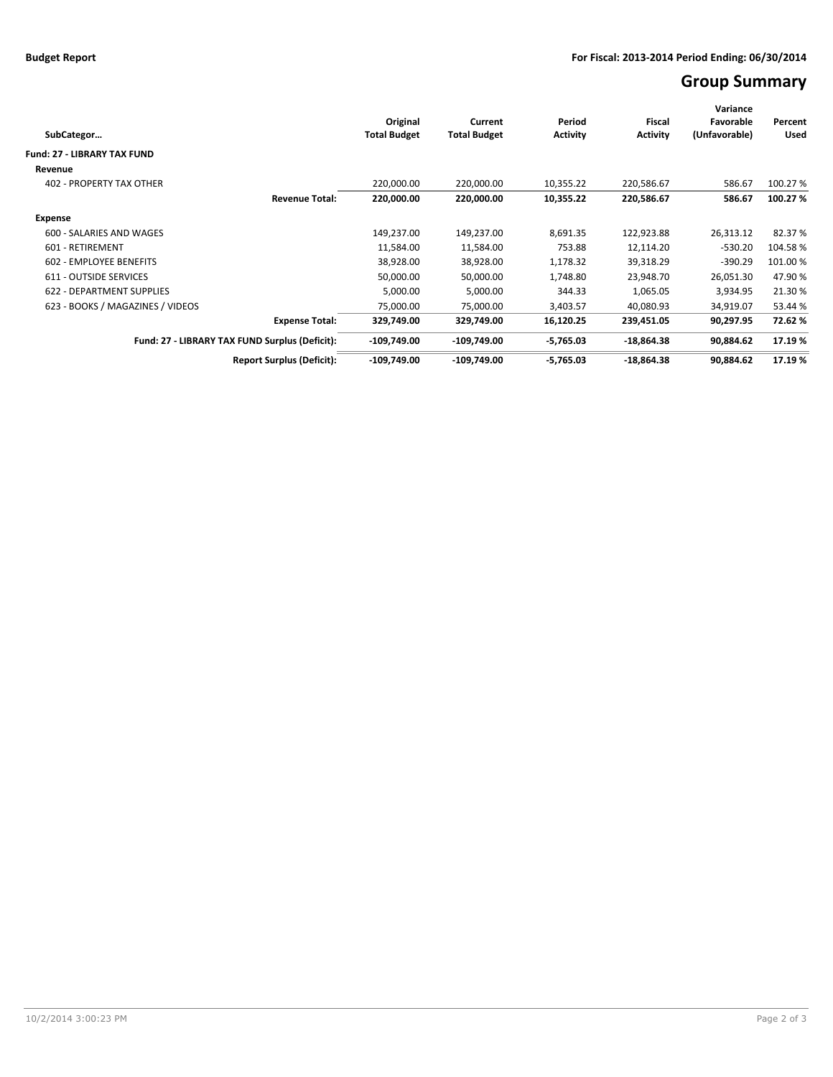## **Group Summary**

| SubCategor                       |                                                | Original<br><b>Total Budget</b> | Current<br><b>Total Budget</b> | Period<br><b>Activity</b> | <b>Fiscal</b><br><b>Activity</b> | Variance<br>Favorable<br>(Unfavorable) | Percent<br>Used |
|----------------------------------|------------------------------------------------|---------------------------------|--------------------------------|---------------------------|----------------------------------|----------------------------------------|-----------------|
| Fund: 27 - LIBRARY TAX FUND      |                                                |                                 |                                |                           |                                  |                                        |                 |
| Revenue                          |                                                |                                 |                                |                           |                                  |                                        |                 |
| <b>402 - PROPERTY TAX OTHER</b>  |                                                | 220,000.00                      | 220,000.00                     | 10,355.22                 | 220,586.67                       | 586.67                                 | 100.27%         |
|                                  | <b>Revenue Total:</b>                          | 220,000.00                      | 220,000.00                     | 10,355.22                 | 220,586.67                       | 586.67                                 | 100.27%         |
| <b>Expense</b>                   |                                                |                                 |                                |                           |                                  |                                        |                 |
| 600 - SALARIES AND WAGES         |                                                | 149,237.00                      | 149,237.00                     | 8,691.35                  | 122,923.88                       | 26,313.12                              | 82.37%          |
| 601 - RETIREMENT                 |                                                | 11,584.00                       | 11,584.00                      | 753.88                    | 12,114.20                        | $-530.20$                              | 104.58%         |
| 602 - EMPLOYEE BENEFITS          |                                                | 38,928.00                       | 38,928.00                      | 1,178.32                  | 39,318.29                        | $-390.29$                              | 101.00 %        |
| 611 - OUTSIDE SERVICES           |                                                | 50,000.00                       | 50,000.00                      | 1,748.80                  | 23,948.70                        | 26,051.30                              | 47.90%          |
| 622 - DEPARTMENT SUPPLIES        |                                                | 5,000.00                        | 5,000.00                       | 344.33                    | 1,065.05                         | 3,934.95                               | 21.30%          |
| 623 - BOOKS / MAGAZINES / VIDEOS |                                                | 75,000.00                       | 75,000.00                      | 3,403.57                  | 40,080.93                        | 34,919.07                              | 53.44 %         |
|                                  | <b>Expense Total:</b>                          | 329,749.00                      | 329,749.00                     | 16,120.25                 | 239,451.05                       | 90,297.95                              | 72.62%          |
|                                  | Fund: 27 - LIBRARY TAX FUND Surplus (Deficit): | $-109,749.00$                   | $-109,749.00$                  | $-5,765.03$               | $-18,864.38$                     | 90,884.62                              | 17.19 %         |
|                                  | <b>Report Surplus (Deficit):</b>               | $-109,749.00$                   | $-109,749.00$                  | $-5,765.03$               | $-18,864.38$                     | 90,884.62                              | 17.19%          |